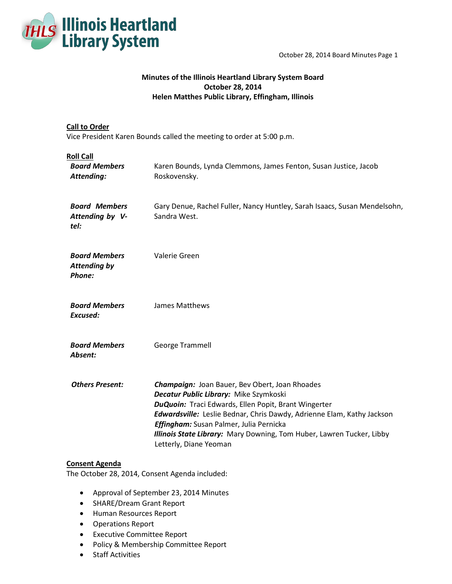

# **Minutes of the Illinois Heartland Library System Board October 28, 2014 Helen Matthes Public Library, Effingham, Illinois**

## **Call to Order**

Vice President Karen Bounds called the meeting to order at 5:00 p.m.

| <b>Roll Call</b><br><b>Board Members</b><br>Attending: | Karen Bounds, Lynda Clemmons, James Fenton, Susan Justice, Jacob<br>Roskovensky.                                                                                                                                                                                                                                                                                                       |
|--------------------------------------------------------|----------------------------------------------------------------------------------------------------------------------------------------------------------------------------------------------------------------------------------------------------------------------------------------------------------------------------------------------------------------------------------------|
| <b>Board Members</b><br>Attending by V-<br>tel:        | Gary Denue, Rachel Fuller, Nancy Huntley, Sarah Isaacs, Susan Mendelsohn,<br>Sandra West.                                                                                                                                                                                                                                                                                              |
| <b>Board Members</b><br><b>Attending by</b><br>Phone:  | Valerie Green                                                                                                                                                                                                                                                                                                                                                                          |
| <b>Board Members</b><br>Excused:                       | James Matthews                                                                                                                                                                                                                                                                                                                                                                         |
| <b>Board Members</b><br>Absent:                        | George Trammell                                                                                                                                                                                                                                                                                                                                                                        |
| <b>Others Present:</b>                                 | <b>Champaign: Joan Bauer, Bev Obert, Joan Rhoades</b><br>Decatur Public Library: Mike Szymkoski<br>DuQuoin: Traci Edwards, Ellen Popit, Brant Wingerter<br><b>Edwardsville:</b> Leslie Bednar, Chris Dawdy, Adrienne Elam, Kathy Jackson<br>Effingham: Susan Palmer, Julia Pernicka<br>Illinois State Library: Mary Downing, Tom Huber, Lawren Tucker, Libby<br>Letterly, Diane Yeoman |

## **Consent Agenda**

The October 28, 2014, Consent Agenda included:

- Approval of September 23, 2014 Minutes
- SHARE/Dream Grant Report
- Human Resources Report
- Operations Report
- Executive Committee Report
- Policy & Membership Committee Report
- Staff Activities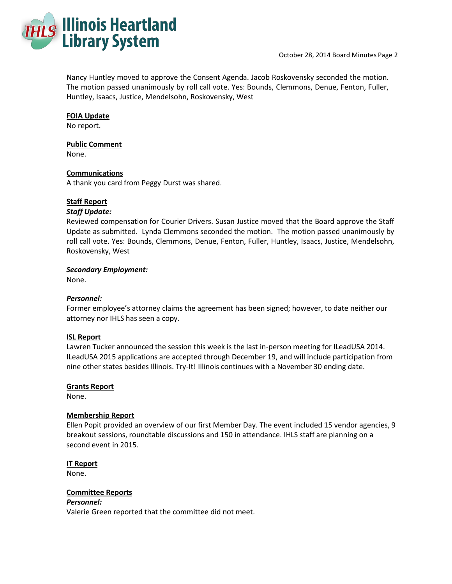

Nancy Huntley moved to approve the Consent Agenda. Jacob Roskovensky seconded the motion. The motion passed unanimously by roll call vote. Yes: Bounds, Clemmons, Denue, Fenton, Fuller, Huntley, Isaacs, Justice, Mendelsohn, Roskovensky, West

## **FOIA Update**

No report.

## **Public Comment**

None.

### **Communications**

A thank you card from Peggy Durst was shared.

### **Staff Report**

#### *Staff Update:*

Reviewed compensation for Courier Drivers. Susan Justice moved that the Board approve the Staff Update as submitted. Lynda Clemmons seconded the motion. The motion passed unanimously by roll call vote. Yes: Bounds, Clemmons, Denue, Fenton, Fuller, Huntley, Isaacs, Justice, Mendelsohn, Roskovensky, West

### *Secondary Employment:*

None.

## *Personnel:*

Former employee's attorney claims the agreement has been signed; however, to date neither our attorney nor IHLS has seen a copy.

#### **ISL Report**

Lawren Tucker announced the session this week is the last in-person meeting for ILeadUSA 2014. ILeadUSA 2015 applications are accepted through December 19, and will include participation from nine other states besides Illinois. Try-It! Illinois continues with a November 30 ending date.

## **Grants Report**

None.

#### **Membership Report**

Ellen Popit provided an overview of our first Member Day. The event included 15 vendor agencies, 9 breakout sessions, roundtable discussions and 150 in attendance. IHLS staff are planning on a second event in 2015.

## **IT Report**

None.

#### **Committee Reports**

### *Personnel:*

Valerie Green reported that the committee did not meet.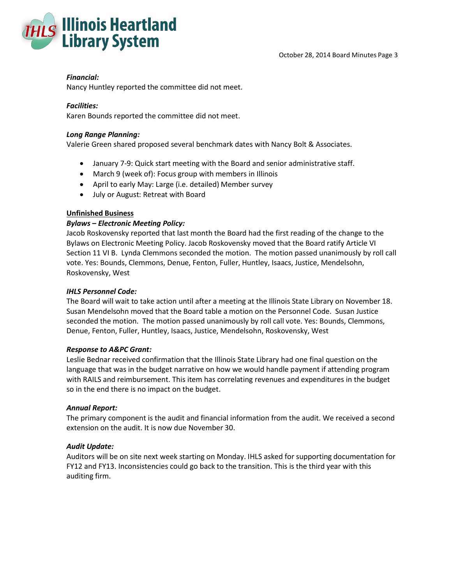



## *Financial:*

Nancy Huntley reported the committee did not meet.

## *Facilities:*

Karen Bounds reported the committee did not meet.

## *Long Range Planning:*

Valerie Green shared proposed several benchmark dates with Nancy Bolt & Associates.

- January 7-9: Quick start meeting with the Board and senior administrative staff.
- March 9 (week of): Focus group with members in Illinois
- April to early May: Large (i.e. detailed) Member survey
- July or August: Retreat with Board

## **Unfinished Business**

## *Bylaws – Electronic Meeting Policy:*

Jacob Roskovensky reported that last month the Board had the first reading of the change to the Bylaws on Electronic Meeting Policy. Jacob Roskovensky moved that the Board ratify Article VI Section 11 VI B. Lynda Clemmons seconded the motion. The motion passed unanimously by roll call vote. Yes: Bounds, Clemmons, Denue, Fenton, Fuller, Huntley, Isaacs, Justice, Mendelsohn, Roskovensky, West

## *IHLS Personnel Code:*

The Board will wait to take action until after a meeting at the Illinois State Library on November 18. Susan Mendelsohn moved that the Board table a motion on the Personnel Code. Susan Justice seconded the motion. The motion passed unanimously by roll call vote. Yes: Bounds, Clemmons, Denue, Fenton, Fuller, Huntley, Isaacs, Justice, Mendelsohn, Roskovensky, West

## *Response to A&PC Grant:*

Leslie Bednar received confirmation that the Illinois State Library had one final question on the language that was in the budget narrative on how we would handle payment if attending program with RAILS and reimbursement. This item has correlating revenues and expenditures in the budget so in the end there is no impact on the budget.

## *Annual Report:*

The primary component is the audit and financial information from the audit. We received a second extension on the audit. It is now due November 30.

## *Audit Update:*

Auditors will be on site next week starting on Monday. IHLS asked for supporting documentation for FY12 and FY13. Inconsistencies could go back to the transition. This is the third year with this auditing firm.